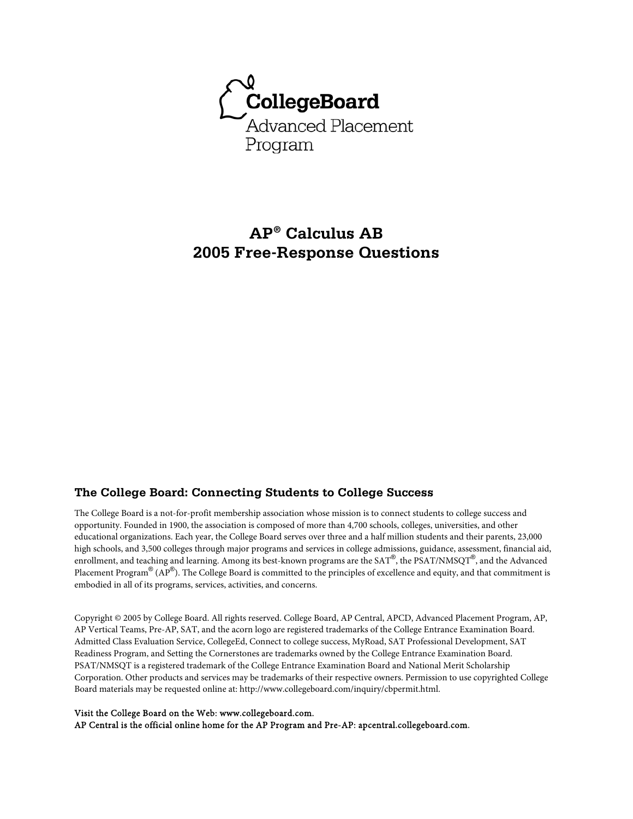

# **AP® Calculus AB 2005 Free-Response Questions**

### **The College Board: Connecting Students to College Success**

The College Board is a not-for-profit membership association whose mission is to connect students to college success and opportunity. Founded in 1900, the association is composed of more than 4,700 schools, colleges, universities, and other educational organizations. Each year, the College Board serves over three and a half million students and their parents, 23,000 high schools, and 3,500 colleges through major programs and services in college admissions, guidance, assessment, financial aid, enrollment, and teaching and learning. Among its best-known programs are the SAT®, the PSAT/NMSQT®, and the Advanced Placement Program $^\circledR$  (AP $^\circledR$ ). The College Board is committed to the principles of excellence and equity, and that commitment is embodied in all of its programs, services, activities, and concerns.

Copyright © 2005 by College Board. All rights reserved. College Board, AP Central, APCD, Advanced Placement Program, AP, AP Vertical Teams, Pre-AP, SAT, and the acorn logo are registered trademarks of the College Entrance Examination Board. Admitted Class Evaluation Service, CollegeEd, Connect to college success, MyRoad, SAT Professional Development, SAT Readiness Program, and Setting the Cornerstones are trademarks owned by the College Entrance Examination Board. PSAT/NMSQT is a registered trademark of the College Entrance Examination Board and National Merit Scholarship Corporation. Other products and services may be trademarks of their respective owners. Permission to use copyrighted College Board materials may be requested online at: http://www.collegeboard.com/inquiry/cbpermit.html.

#### Visit the College Board on the Web: www.collegeboard.com.

AP Central is the official online home for the AP Program and Pre-AP: apcentral.collegeboard.com.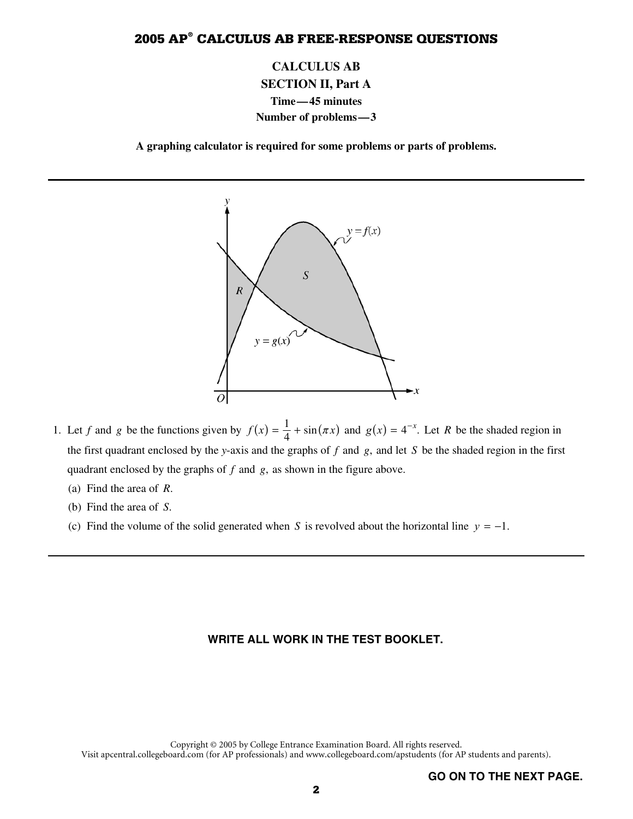**CALCULUS AB SECTION II, Part A Time—45 minutes Number of problems—3** 

**A graphing calculator is required for some problems or parts of problems.** 



- 1. Let *f* and *g* be the functions given by  $f(x) = \frac{1}{4} + \sin(\pi x)$  and  $g(x) = 4^{-x}$ . Let *R* be the shaded region in the first quadrant enclosed by the *y*-axis and the graphs of *f* and *g*, and let *S* be the shaded region in the first quadrant enclosed by the graphs of *f* and *g*, as shown in the figure above.
	- (a) Find the area of *R*.
	- (b) Find the area of *S*.
	- (c) Find the volume of the solid generated when *S* is revolved about the horizontal line  $y = -1$ .

#### **WRITE ALL WORK IN THE TEST BOOKLET.**

Copyright © 2005 by College Entrance Examination Board. All rights reserved. Visit apcentral.collegeboard.com (for AP professionals) and www.collegeboard.com/apstudents (for AP students and parents).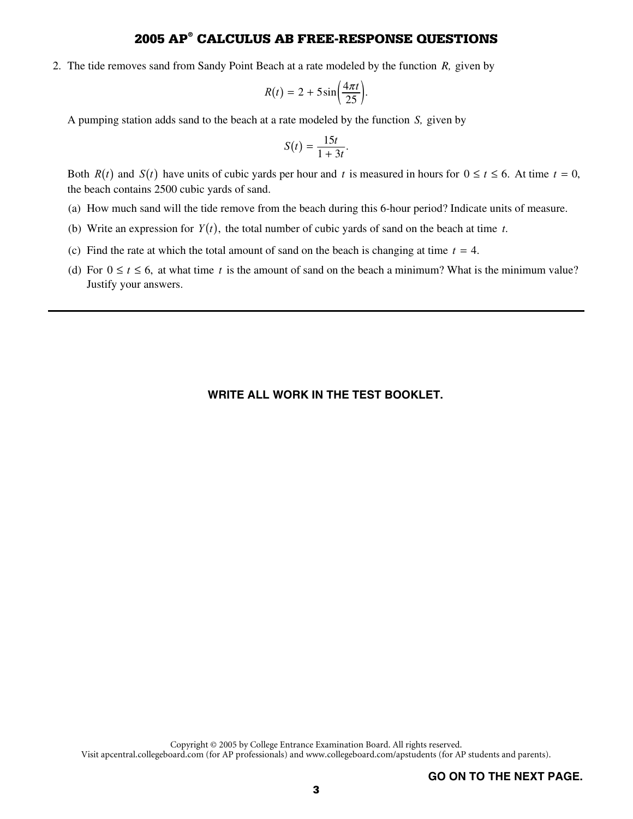2. The tide removes sand from Sandy Point Beach at a rate modeled by the function *R,* given by

$$
R(t) = 2 + 5\sin\left(\frac{4\pi t}{25}\right).
$$

A pumping station adds sand to the beach at a rate modeled by the function *S,* given by

$$
S(t) = \frac{15t}{1+3t}.
$$

Both  $R(t)$  and  $S(t)$  have units of cubic yards per hour and t is measured in hours for  $0 \le t \le 6$ . At time  $t = 0$ , the beach contains 2500 cubic yards of sand.

- (a) How much sand will the tide remove from the beach during this 6-hour period? Indicate units of measure.
- (b) Write an expression for  $Y(t)$ , the total number of cubic yards of sand on the beach at time *t*.
- (c) Find the rate at which the total amount of sand on the beach is changing at time  $t = 4$ .
- (d) For  $0 \le t \le 6$ , at what time t is the amount of sand on the beach a minimum? What is the minimum value? Justify your answers.

#### **WRITE ALL WORK IN THE TEST BOOKLET.**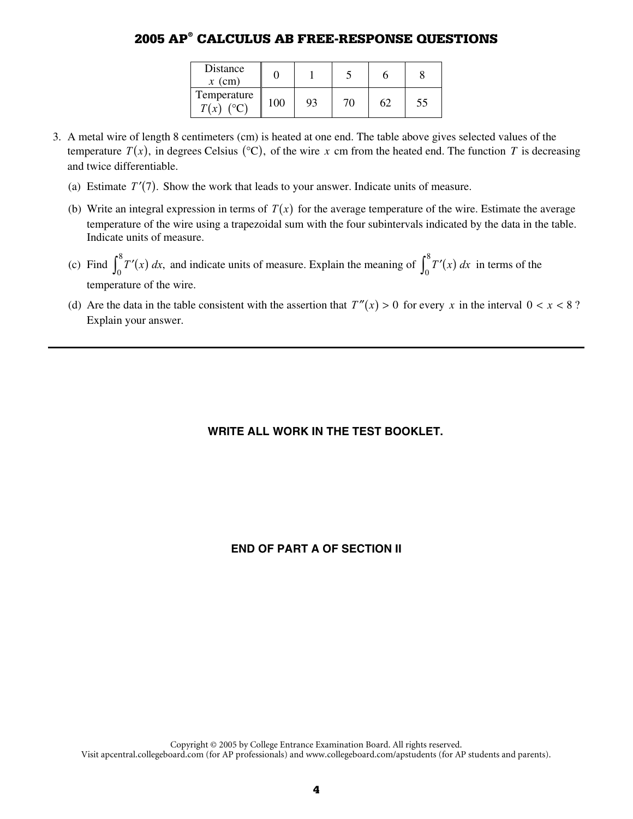| Distance<br>$x$ (cm)       |         |    |  |  |
|----------------------------|---------|----|--|--|
| Temperature<br>$T(x)$ (°C) | $100 -$ | 93 |  |  |

- 3. A metal wire of length 8 centimeters (cm) is heated at one end. The table above gives selected values of the temperature  $T(x)$ , in degrees Celsius ( ${}^{\circ}$ C), of the wire x cm from the heated end. The function T is decreasing and twice differentiable.
	- (a) Estimate  $T'(7)$ . Show the work that leads to your answer. Indicate units of measure.
	- (b) Write an integral expression in terms of  $T(x)$  for the average temperature of the wire. Estimate the average temperature of the wire using a trapezoidal sum with the four subintervals indicated by the data in the table. Indicate units of measure.
	- (c) Find  $\int_0^8 T'(x) dx$ , and indicate units of measure. Explain the meaning of  $\int_0^8 T'(x) dx$  in terms of the temperature of the wire.
	- (d) Are the data in the table consistent with the assertion that  $T''(x) > 0$  for every *x* in the interval  $0 < x < 8$ ? Explain your answer.

### **WRITE ALL WORK IN THE TEST BOOKLET.**

### **END OF PART A OF SECTION II**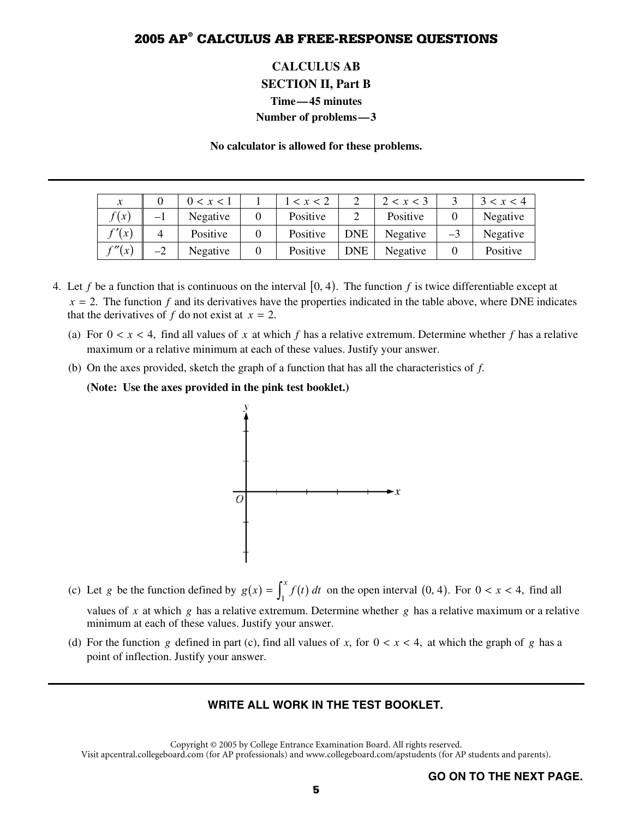## **CALCULUS AB SECTION II, Part B Time—45 minutes Number of problems—3**

**No calculator is allowed for these problems.** 

| $\mathcal{X}$ |      | 0 < x < 1 | $\leq x \leq 2$ |            | 2 < x < 3 |      | 3 < x < 4 |
|---------------|------|-----------|-----------------|------------|-----------|------|-----------|
| f(x)          | — 1  | Negative  | Positive        |            | Positive  |      | Negative  |
| f'(x)         | 4    | Positive  | Positive        | <b>DNE</b> | Negative  | $-3$ | Negative  |
| f''(x)        | $-2$ | Negative  | Positive        | <b>DNE</b> | Negative  |      | Positive  |

- 4. Let f be a function that is continuous on the interval  $[0, 4)$ . The function f is twice differentiable except at  $x = 2$ . The function  $f$  and its derivatives have the properties indicated in the table above, where DNE indicates that the derivatives of  $f$  do not exist at  $x = 2$ .
	- (a) For  $0 < x < 4$ , find all values of x at which f has a relative extremum. Determine whether f has a relative maximum or a relative minimum at each of these values. Justify your answer.
	- (b) On the axes provided, sketch the graph of a function that has all the characteristics of *f*.

**(Note: Use the axes provided in the pink test booklet.)** 



- (c) Let *g* be the function defined by  $g(x) = \int_1^x f(t) dt$  on the open interval  $(0, 4)$ . For  $0 < x < 4$ , find all values of *x* at which *g* has a relative extremum. Determine whether *g* has a relative maximum or a relative minimum at each of these values. Justify your answer.
- (d) For the function *g* defined in part (c), find all values of *x*, for  $0 < x < 4$ , at which the graph of *g* has a point of inflection. Justify your answer.

#### **WRITE ALL WORK IN THE TEST BOOKLET.**

Copyright © 2005 by College Entrance Examination Board. All rights reserved. Visit apcentral.collegeboard.com (for AP professionals) and www.collegeboard.com/apstudents (for AP students and parents).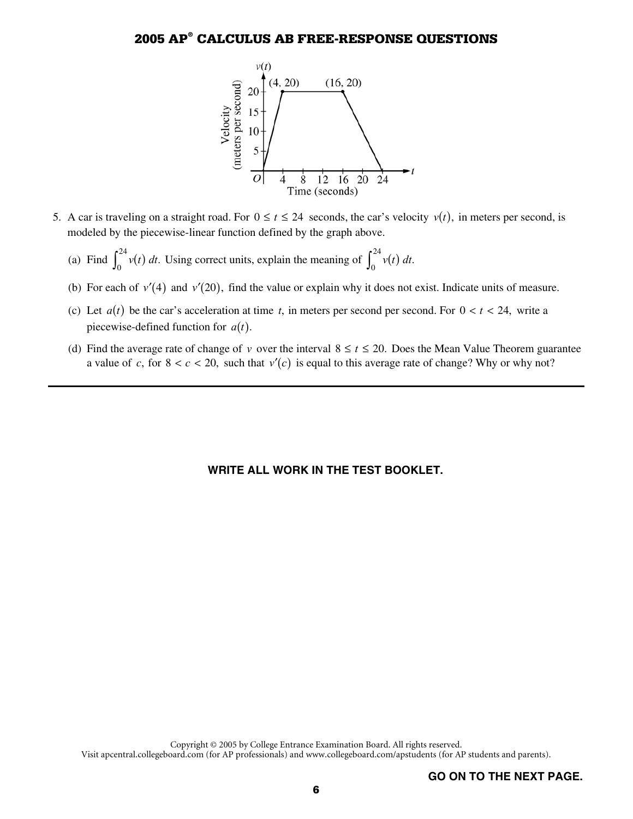

- 5. A car is traveling on a straight road. For  $0 \le t \le 24$  seconds, the car's velocity  $v(t)$ , in meters per second, is modeled by the piecewise-linear function defined by the graph above.
	- (a) Find  $\int_{0}^{24} v(t)$  $\int_0^{24} v(t) dt$ . Using correct units, explain the meaning of  $\int_0^{24} v(t) dt$  $\int_0^{\infty} v(t) dt$ .
	- (b) For each of  $v'(4)$  and  $v'(20)$ , find the value or explain why it does not exist. Indicate units of measure.
	- (c) Let  $a(t)$  be the car's acceleration at time *t*, in meters per second per second. For  $0 < t < 24$ , write a piecewise-defined function for  $a(t)$ .
	- (d) Find the average rate of change of *v* over the interval  $8 \le t \le 20$ . Does the Mean Value Theorem guarantee a value of *c*, for  $8 < c < 20$ , such that  $v'(c)$  is equal to this average rate of change? Why or why not?

#### **WRITE ALL WORK IN THE TEST BOOKLET.**